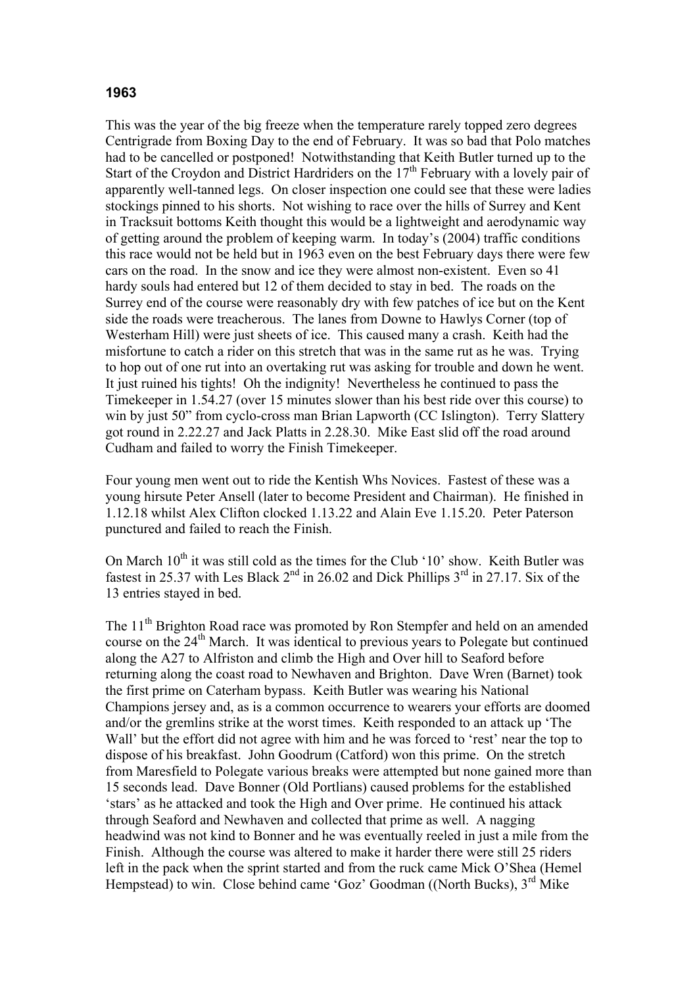## **1963**

This was the year of the big freeze when the temperature rarely topped zero degrees Centrigrade from Boxing Day to the end of February. It was so bad that Polo matches had to be cancelled or postponed! Notwithstanding that Keith Butler turned up to the Start of the Croydon and District Hardriders on the  $17<sup>th</sup>$  February with a lovely pair of apparently well-tanned legs. On closer inspection one could see that these were ladies stockings pinned to his shorts. Not wishing to race over the hills of Surrey and Kent in Tracksuit bottoms Keith thought this would be a lightweight and aerodynamic way of getting around the problem of keeping warm. In today's (2004) traffic conditions this race would not be held but in 1963 even on the best February days there were few cars on the road. In the snow and ice they were almost non-existent. Even so 41 hardy souls had entered but 12 of them decided to stay in bed. The roads on the Surrey end of the course were reasonably dry with few patches of ice but on the Kent side the roads were treacherous. The lanes from Downe to Hawlys Corner (top of Westerham Hill) were just sheets of ice. This caused many a crash. Keith had the misfortune to catch a rider on this stretch that was in the same rut as he was. Trying to hop out of one rut into an overtaking rut was asking for trouble and down he went. It just ruined his tights! Oh the indignity! Nevertheless he continued to pass the Timekeeper in 1.54.27 (over 15 minutes slower than his best ride over this course) to win by just 50" from cyclo-cross man Brian Lapworth (CC Islington). Terry Slattery got round in 2.22.27 and Jack Platts in 2.28.30. Mike East slid off the road around Cudham and failed to worry the Finish Timekeeper.

Four young men went out to ride the Kentish Whs Novices. Fastest of these was a young hirsute Peter Ansell (later to become President and Chairman). He finished in 1.12.18 whilst Alex Clifton clocked 1.13.22 and Alain Eve 1.15.20. Peter Paterson punctured and failed to reach the Finish.

On March  $10^{th}$  it was still cold as the times for the Club ' $10$ ' show. Keith Butler was fastest in 25.37 with Les Black  $2^{nd}$  in 26.02 and Dick Phillips  $3^{rd}$  in 27.17. Six of the 13 entries stayed in bed.

The 11<sup>th</sup> Brighton Road race was promoted by Ron Stempfer and held on an amended course on the  $24<sup>th</sup>$  March. It was identical to previous years to Polegate but continued along the A27 to Alfriston and climb the High and Over hill to Seaford before returning along the coast road to Newhaven and Brighton. Dave Wren (Barnet) took the first prime on Caterham bypass. Keith Butler was wearing his National Champions jersey and, as is a common occurrence to wearers your efforts are doomed and/or the gremlins strike at the worst times. Keith responded to an attack up 'The Wall' but the effort did not agree with him and he was forced to 'rest' near the top to dispose of his breakfast. John Goodrum (Catford) won this prime. On the stretch from Maresfield to Polegate various breaks were attempted but none gained more than 15 seconds lead. Dave Bonner (Old Portlians) caused problems for the established 'stars' as he attacked and took the High and Over prime. He continued his attack through Seaford and Newhaven and collected that prime as well. A nagging headwind was not kind to Bonner and he was eventually reeled in just a mile from the Finish. Although the course was altered to make it harder there were still 25 riders left in the pack when the sprint started and from the ruck came Mick O'Shea (Hemel Hempstead) to win. Close behind came 'Goz' Goodman ((North Bucks), 3<sup>rd</sup> Mike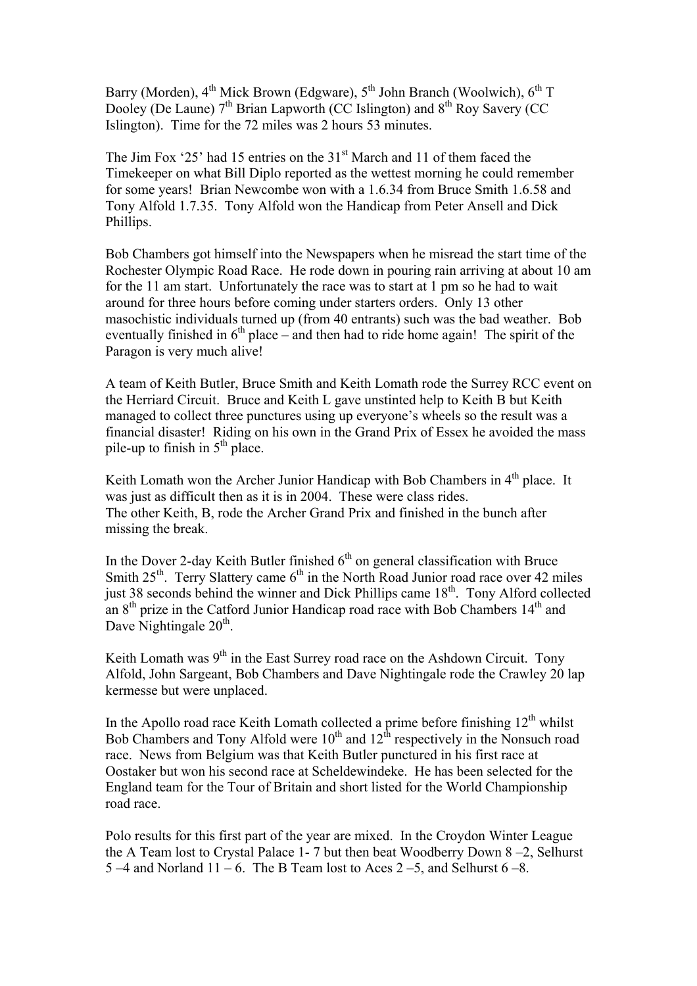Barry (Morden), 4<sup>th</sup> Mick Brown (Edgware), 5<sup>th</sup> John Branch (Woolwich), 6<sup>th</sup> T Dooley (De Laune)  $7<sup>th</sup>$  Brian Lapworth (CC Islington) and  $8<sup>th</sup>$  Roy Savery (CC Islington). Time for the 72 miles was 2 hours 53 minutes.

The Jim Fox '25' had 15 entries on the  $31<sup>st</sup>$  March and 11 of them faced the Timekeeper on what Bill Diplo reported as the wettest morning he could remember for some years! Brian Newcombe won with a 1.6.34 from Bruce Smith 1.6.58 and Tony Alfold 1.7.35. Tony Alfold won the Handicap from Peter Ansell and Dick Phillips.

Bob Chambers got himself into the Newspapers when he misread the start time of the Rochester Olympic Road Race. He rode down in pouring rain arriving at about 10 am for the 11 am start. Unfortunately the race was to start at 1 pm so he had to wait around for three hours before coming under starters orders. Only 13 other masochistic individuals turned up (from 40 entrants) such was the bad weather. Bob eventually finished in  $6<sup>th</sup>$  place – and then had to ride home again! The spirit of the Paragon is very much alive!

A team of Keith Butler, Bruce Smith and Keith Lomath rode the Surrey RCC event on the Herriard Circuit. Bruce and Keith L gave unstinted help to Keith B but Keith managed to collect three punctures using up everyone's wheels so the result was a financial disaster! Riding on his own in the Grand Prix of Essex he avoided the mass pile-up to finish in  $5<sup>th</sup>$  place.

Keith Lomath won the Archer Junior Handicap with Bob Chambers in  $4<sup>th</sup>$  place. It was just as difficult then as it is in 2004. These were class rides. The other Keith, B, rode the Archer Grand Prix and finished in the bunch after missing the break.

In the Dover 2-day Keith Butler finished  $6<sup>th</sup>$  on general classification with Bruce Smith  $25<sup>th</sup>$ . Terry Slattery came  $6<sup>th</sup>$  in the North Road Junior road race over 42 miles just 38 seconds behind the winner and Dick Phillips came  $18<sup>th</sup>$ . Tony Alford collected an  $8<sup>th</sup>$  prize in the Catford Junior Handicap road race with Bob Chambers  $14<sup>th</sup>$  and Dave Nightingale 20<sup>th</sup>.

Keith Lomath was  $9<sup>th</sup>$  in the East Surrey road race on the Ashdown Circuit. Tony Alfold, John Sargeant, Bob Chambers and Dave Nightingale rode the Crawley 20 lap kermesse but were unplaced.

In the Apollo road race Keith Lomath collected a prime before finishing  $12<sup>th</sup>$  whilst Bob Chambers and Tony Alfold were  $10^{th}$  and  $12^{th}$  respectively in the Nonsuch road race. News from Belgium was that Keith Butler punctured in his first race at Oostaker but won his second race at Scheldewindeke. He has been selected for the England team for the Tour of Britain and short listed for the World Championship road race.

Polo results for this first part of the year are mixed. In the Croydon Winter League the A Team lost to Crystal Palace 1- 7 but then beat Woodberry Down 8 –2, Selhurst 5 –4 and Norland 11 – 6. The B Team lost to Aces 2 – 5, and Selhurst  $6-8$ .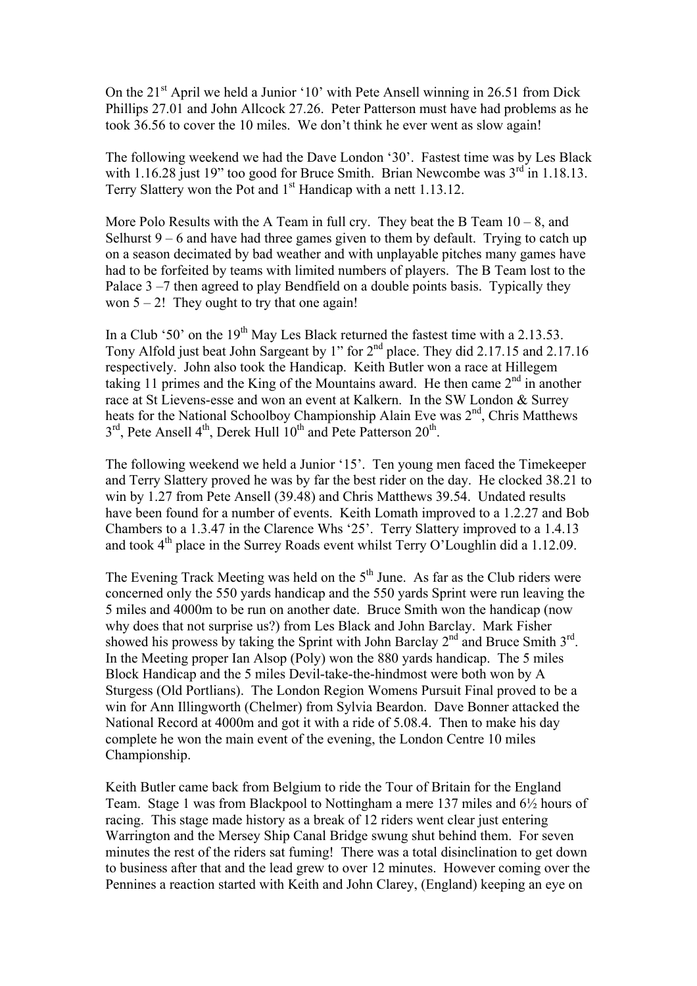On the 21<sup>st</sup> April we held a Junior '10' with Pete Ansell winning in 26.51 from Dick Phillips 27.01 and John Allcock 27.26. Peter Patterson must have had problems as he took 36.56 to cover the 10 miles. We don't think he ever went as slow again!

The following weekend we had the Dave London '30'. Fastest time was by Les Black with  $1.16.28$  just  $19$ " too good for Bruce Smith. Brian Newcombe was  $3<sup>rd</sup>$  in 1.18.13. Terry Slattery won the Pot and 1<sup>st</sup> Handicap with a nett 1.13.12.

More Polo Results with the A Team in full cry. They beat the B Team  $10 - 8$ , and Selhurst  $9 - 6$  and have had three games given to them by default. Trying to catch up on a season decimated by bad weather and with unplayable pitches many games have had to be forfeited by teams with limited numbers of players. The B Team lost to the Palace 3 –7 then agreed to play Bendfield on a double points basis. Typically they won  $5 - 2!$  They ought to try that one again!

In a Club '50' on the  $19<sup>th</sup>$  May Les Black returned the fastest time with a 2.13.53. Tony Alfold just beat John Sargeant by 1" for 2<sup>nd</sup> place. They did 2.17.15 and 2.17.16 respectively. John also took the Handicap. Keith Butler won a race at Hillegem taking 11 primes and the King of the Mountains award. He then came  $2<sup>nd</sup>$  in another race at St Lievens-esse and won an event at Kalkern. In the SW London & Surrey heats for the National Schoolboy Championship Alain Eve was 2<sup>nd</sup>, Chris Matthews  $3<sup>rd</sup>$ , Pete Ansell 4<sup>th</sup>, Derek Hull  $10<sup>th</sup>$  and Pete Patterson  $20<sup>th</sup>$ .

The following weekend we held a Junior '15'. Ten young men faced the Timekeeper and Terry Slattery proved he was by far the best rider on the day. He clocked 38.21 to win by 1.27 from Pete Ansell (39.48) and Chris Matthews 39.54. Undated results have been found for a number of events. Keith Lomath improved to a 1.2.27 and Bob Chambers to a 1.3.47 in the Clarence Whs '25'. Terry Slattery improved to a 1.4.13 and took  $4<sup>th</sup>$  place in the Surrey Roads event whilst Terry O'Loughlin did a 1.12.09.

The Evening Track Meeting was held on the  $5<sup>th</sup>$  June. As far as the Club riders were concerned only the 550 yards handicap and the 550 yards Sprint were run leaving the 5 miles and 4000m to be run on another date. Bruce Smith won the handicap (now why does that not surprise us?) from Les Black and John Barclay. Mark Fisher showed his prowess by taking the Sprint with John Barclay  $2<sup>nd</sup>$  and Bruce Smith  $3<sup>rd</sup>$ . In the Meeting proper Ian Alsop (Poly) won the 880 yards handicap. The 5 miles Block Handicap and the 5 miles Devil-take-the-hindmost were both won by A Sturgess (Old Portlians). The London Region Womens Pursuit Final proved to be a win for Ann Illingworth (Chelmer) from Sylvia Beardon. Dave Bonner attacked the National Record at 4000m and got it with a ride of 5.08.4. Then to make his day complete he won the main event of the evening, the London Centre 10 miles Championship.

Keith Butler came back from Belgium to ride the Tour of Britain for the England Team. Stage 1 was from Blackpool to Nottingham a mere 137 miles and 6½ hours of racing. This stage made history as a break of 12 riders went clear just entering Warrington and the Mersey Ship Canal Bridge swung shut behind them. For seven minutes the rest of the riders sat fuming! There was a total disinclination to get down to business after that and the lead grew to over 12 minutes. However coming over the Pennines a reaction started with Keith and John Clarey, (England) keeping an eye on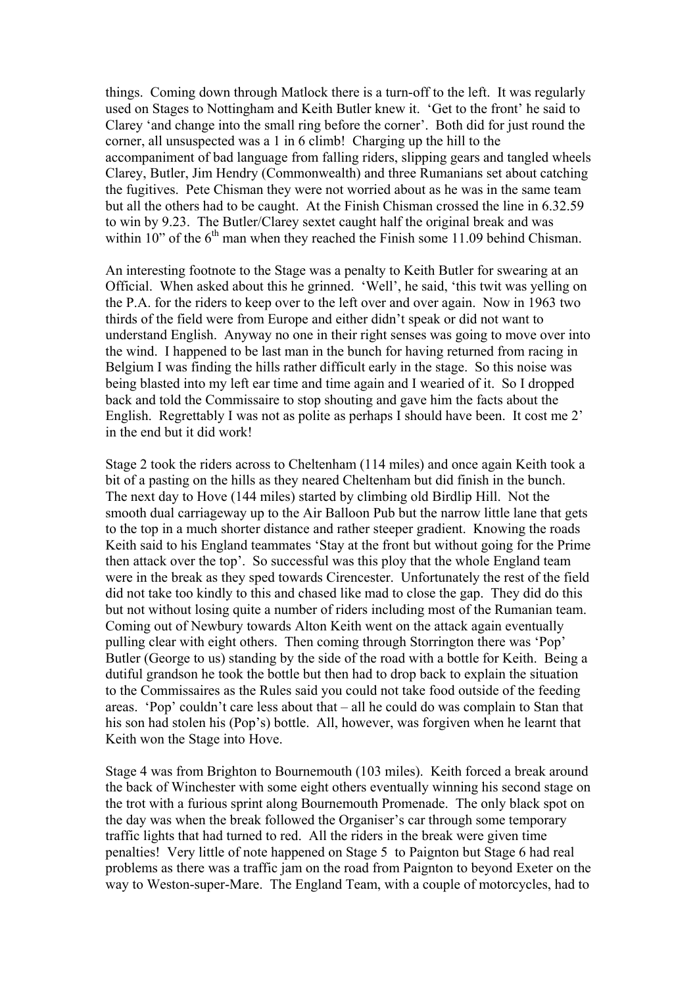things. Coming down through Matlock there is a turn-off to the left. It was regularly used on Stages to Nottingham and Keith Butler knew it. 'Get to the front' he said to Clarey 'and change into the small ring before the corner'. Both did for just round the corner, all unsuspected was a 1 in 6 climb! Charging up the hill to the accompaniment of bad language from falling riders, slipping gears and tangled wheels Clarey, Butler, Jim Hendry (Commonwealth) and three Rumanians set about catching the fugitives. Pete Chisman they were not worried about as he was in the same team but all the others had to be caught. At the Finish Chisman crossed the line in 6.32.59 to win by 9.23. The Butler/Clarey sextet caught half the original break and was within  $10$ " of the  $6<sup>th</sup>$  man when they reached the Finish some 11.09 behind Chisman.

An interesting footnote to the Stage was a penalty to Keith Butler for swearing at an Official. When asked about this he grinned. 'Well', he said, 'this twit was yelling on the P.A. for the riders to keep over to the left over and over again. Now in 1963 two thirds of the field were from Europe and either didn't speak or did not want to understand English. Anyway no one in their right senses was going to move over into the wind. I happened to be last man in the bunch for having returned from racing in Belgium I was finding the hills rather difficult early in the stage. So this noise was being blasted into my left ear time and time again and I wearied of it. So I dropped back and told the Commissaire to stop shouting and gave him the facts about the English. Regrettably I was not as polite as perhaps I should have been. It cost me 2' in the end but it did work!

Stage 2 took the riders across to Cheltenham (114 miles) and once again Keith took a bit of a pasting on the hills as they neared Cheltenham but did finish in the bunch. The next day to Hove (144 miles) started by climbing old Birdlip Hill. Not the smooth dual carriageway up to the Air Balloon Pub but the narrow little lane that gets to the top in a much shorter distance and rather steeper gradient. Knowing the roads Keith said to his England teammates 'Stay at the front but without going for the Prime then attack over the top'. So successful was this ploy that the whole England team were in the break as they sped towards Cirencester. Unfortunately the rest of the field did not take too kindly to this and chased like mad to close the gap. They did do this but not without losing quite a number of riders including most of the Rumanian team. Coming out of Newbury towards Alton Keith went on the attack again eventually pulling clear with eight others. Then coming through Storrington there was 'Pop' Butler (George to us) standing by the side of the road with a bottle for Keith. Being a dutiful grandson he took the bottle but then had to drop back to explain the situation to the Commissaires as the Rules said you could not take food outside of the feeding areas. 'Pop' couldn't care less about that – all he could do was complain to Stan that his son had stolen his (Pop's) bottle. All, however, was forgiven when he learnt that Keith won the Stage into Hove.

Stage 4 was from Brighton to Bournemouth (103 miles). Keith forced a break around the back of Winchester with some eight others eventually winning his second stage on the trot with a furious sprint along Bournemouth Promenade. The only black spot on the day was when the break followed the Organiser's car through some temporary traffic lights that had turned to red. All the riders in the break were given time penalties! Very little of note happened on Stage 5 to Paignton but Stage 6 had real problems as there was a traffic jam on the road from Paignton to beyond Exeter on the way to Weston-super-Mare. The England Team, with a couple of motorcycles, had to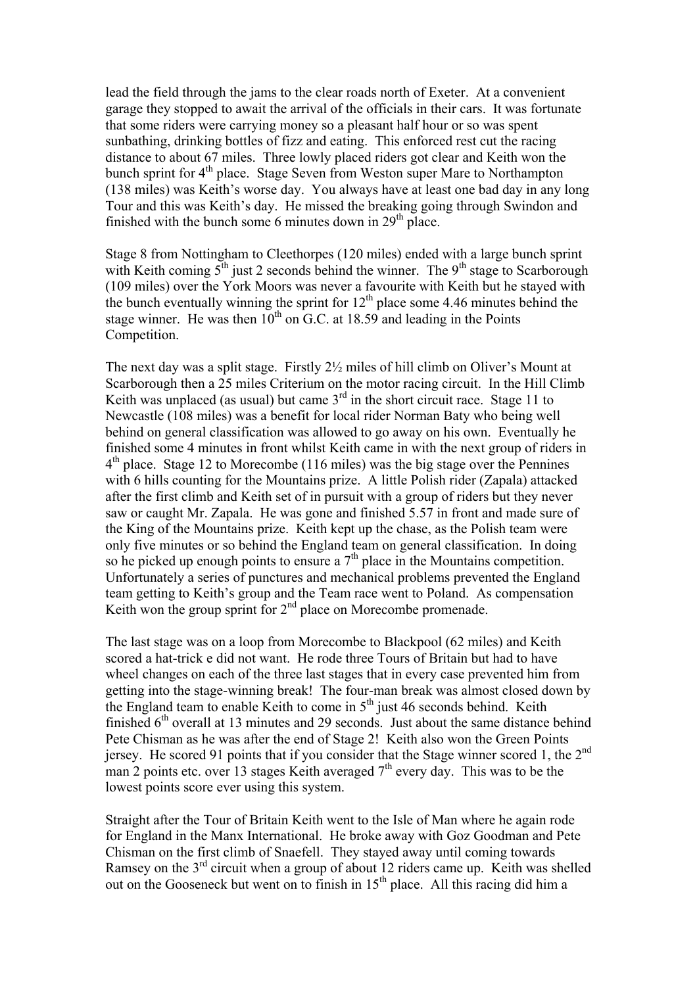lead the field through the jams to the clear roads north of Exeter. At a convenient garage they stopped to await the arrival of the officials in their cars. It was fortunate that some riders were carrying money so a pleasant half hour or so was spent sunbathing, drinking bottles of fizz and eating. This enforced rest cut the racing distance to about 67 miles. Three lowly placed riders got clear and Keith won the bunch sprint for  $4<sup>th</sup>$  place. Stage Seven from Weston super Mare to Northampton (138 miles) was Keith's worse day. You always have at least one bad day in any long Tour and this was Keith's day. He missed the breaking going through Swindon and finished with the bunch some 6 minutes down in  $29<sup>th</sup>$  place.

Stage 8 from Nottingham to Cleethorpes (120 miles) ended with a large bunch sprint with Keith coming  $5<sup>th</sup>$  just 2 seconds behind the winner. The 9<sup>th</sup> stage to Scarborough (109 miles) over the York Moors was never a favourite with Keith but he stayed with the bunch eventually winning the sprint for  $12<sup>th</sup>$  place some 4.46 minutes behind the stage winner. He was then  $10^{th}$  on G.C. at 18.59 and leading in the Points Competition.

The next day was a split stage. Firstly 2½ miles of hill climb on Oliver's Mount at Scarborough then a 25 miles Criterium on the motor racing circuit. In the Hill Climb Keith was unplaced (as usual) but came  $3<sup>rd</sup>$  in the short circuit race. Stage 11 to Newcastle (108 miles) was a benefit for local rider Norman Baty who being well behind on general classification was allowed to go away on his own. Eventually he finished some 4 minutes in front whilst Keith came in with the next group of riders in  $4<sup>th</sup>$  place. Stage 12 to Morecombe (116 miles) was the big stage over the Pennines with 6 hills counting for the Mountains prize. A little Polish rider (Zapala) attacked after the first climb and Keith set of in pursuit with a group of riders but they never saw or caught Mr. Zapala. He was gone and finished 5.57 in front and made sure of the King of the Mountains prize. Keith kept up the chase, as the Polish team were only five minutes or so behind the England team on general classification. In doing so he picked up enough points to ensure a  $7<sup>th</sup>$  place in the Mountains competition. Unfortunately a series of punctures and mechanical problems prevented the England team getting to Keith's group and the Team race went to Poland. As compensation Keith won the group sprint for 2<sup>nd</sup> place on Morecombe promenade.

The last stage was on a loop from Morecombe to Blackpool (62 miles) and Keith scored a hat-trick e did not want. He rode three Tours of Britain but had to have wheel changes on each of the three last stages that in every case prevented him from getting into the stage-winning break! The four-man break was almost closed down by the England team to enable Keith to come in  $5<sup>th</sup>$  just 46 seconds behind. Keith finished  $6<sup>th</sup>$  overall at 13 minutes and 29 seconds. Just about the same distance behind Pete Chisman as he was after the end of Stage 2! Keith also won the Green Points jersey. He scored 91 points that if you consider that the Stage winner scored 1, the  $2<sup>nd</sup>$ man 2 points etc. over 13 stages Keith averaged  $7<sup>th</sup>$  every day. This was to be the lowest points score ever using this system.

Straight after the Tour of Britain Keith went to the Isle of Man where he again rode for England in the Manx International. He broke away with Goz Goodman and Pete Chisman on the first climb of Snaefell. They stayed away until coming towards Ramsey on the 3<sup>rd</sup> circuit when a group of about 12 riders came up. Keith was shelled out on the Gooseneck but went on to finish in  $15<sup>th</sup>$  place. All this racing did him a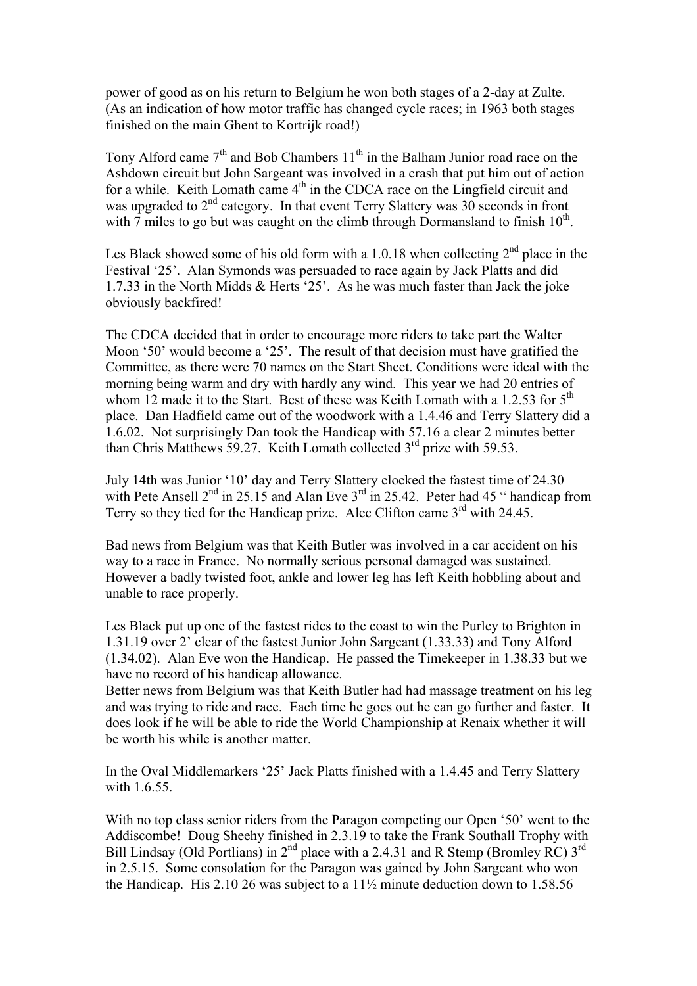power of good as on his return to Belgium he won both stages of a 2-day at Zulte. (As an indication of how motor traffic has changed cycle races; in 1963 both stages finished on the main Ghent to Kortrijk road!)

Tony Alford came  $7<sup>th</sup>$  and Bob Chambers 11<sup>th</sup> in the Balham Junior road race on the Ashdown circuit but John Sargeant was involved in a crash that put him out of action for a while. Keith Lomath came  $4<sup>th</sup>$  in the CDCA race on the Lingfield circuit and was upgraded to  $2<sup>nd</sup>$  category. In that event Terry Slattery was 30 seconds in front with 7 miles to go but was caught on the climb through Dormansland to finish  $10^{th}$ .

Les Black showed some of his old form with a 1.0.18 when collecting  $2<sup>nd</sup>$  place in the Festival '25'. Alan Symonds was persuaded to race again by Jack Platts and did 1.7.33 in the North Midds & Herts '25'. As he was much faster than Jack the joke obviously backfired!

The CDCA decided that in order to encourage more riders to take part the Walter Moon '50' would become a '25'. The result of that decision must have gratified the Committee, as there were 70 names on the Start Sheet. Conditions were ideal with the morning being warm and dry with hardly any wind. This year we had 20 entries of whom 12 made it to the Start. Best of these was Keith Lomath with a 1.2.53 for  $5<sup>th</sup>$ place. Dan Hadfield came out of the woodwork with a 1.4.46 and Terry Slattery did a 1.6.02. Not surprisingly Dan took the Handicap with 57.16 a clear 2 minutes better than Chris Matthews 59.27. Keith Lomath collected 3<sup>rd</sup> prize with 59.53.

July 14th was Junior '10' day and Terry Slattery clocked the fastest time of 24.30 with Pete Ansell  $2<sup>nd</sup>$  in 25.15 and Alan Eve  $3<sup>rd</sup>$  in 25.42. Peter had 45 " handicap from Terry so they tied for the Handicap prize. Alec Clifton came  $3<sup>rd</sup>$  with 24.45.

Bad news from Belgium was that Keith Butler was involved in a car accident on his way to a race in France. No normally serious personal damaged was sustained. However a badly twisted foot, ankle and lower leg has left Keith hobbling about and unable to race properly.

Les Black put up one of the fastest rides to the coast to win the Purley to Brighton in 1.31.19 over 2' clear of the fastest Junior John Sargeant (1.33.33) and Tony Alford (1.34.02). Alan Eve won the Handicap. He passed the Timekeeper in 1.38.33 but we have no record of his handicap allowance.

Better news from Belgium was that Keith Butler had had massage treatment on his leg and was trying to ride and race. Each time he goes out he can go further and faster. It does look if he will be able to ride the World Championship at Renaix whether it will be worth his while is another matter.

In the Oval Middlemarkers '25' Jack Platts finished with a 1.4.45 and Terry Slattery with 1.6.55.

With no top class senior riders from the Paragon competing our Open '50' went to the Addiscombe! Doug Sheehy finished in 2.3.19 to take the Frank Southall Trophy with Bill Lindsay (Old Portlians) in  $2^{nd}$  place with a 2.4.31 and R Stemp (Bromley RC)  $3^{rd}$ in 2.5.15. Some consolation for the Paragon was gained by John Sargeant who won the Handicap. His 2.10 26 was subject to a  $11\frac{1}{2}$  minute deduction down to 1.58.56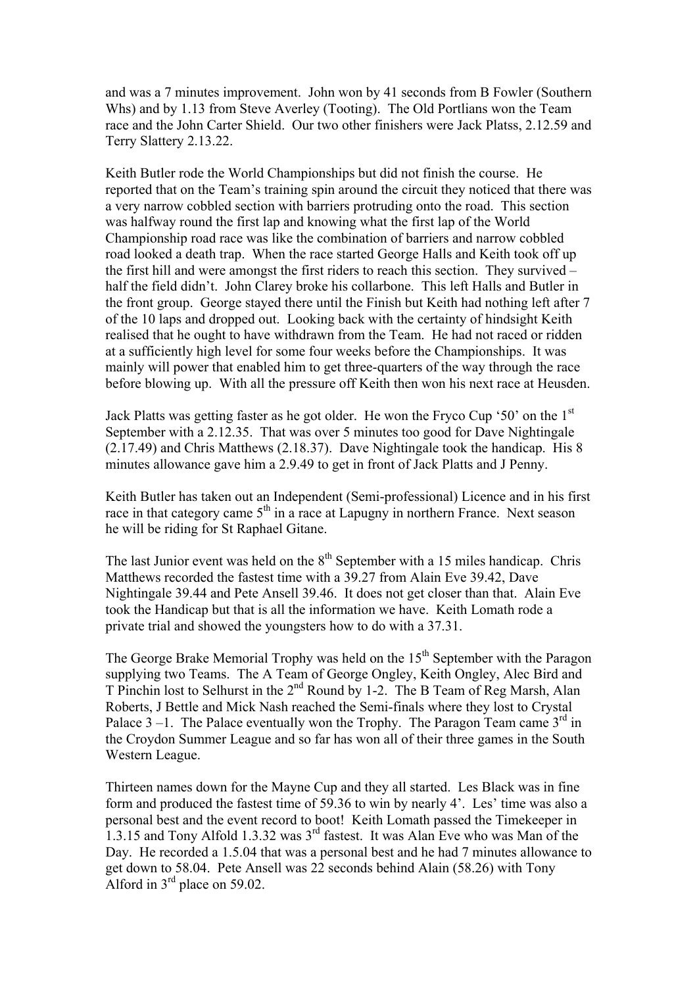and was a 7 minutes improvement. John won by 41 seconds from B Fowler (Southern Whs) and by 1.13 from Steve Averley (Tooting). The Old Portlians won the Team race and the John Carter Shield. Our two other finishers were Jack Platss, 2.12.59 and Terry Slattery 2.13.22.

Keith Butler rode the World Championships but did not finish the course. He reported that on the Team's training spin around the circuit they noticed that there was a very narrow cobbled section with barriers protruding onto the road. This section was halfway round the first lap and knowing what the first lap of the World Championship road race was like the combination of barriers and narrow cobbled road looked a death trap. When the race started George Halls and Keith took off up the first hill and were amongst the first riders to reach this section. They survived – half the field didn't. John Clarey broke his collarbone. This left Halls and Butler in the front group. George stayed there until the Finish but Keith had nothing left after 7 of the 10 laps and dropped out. Looking back with the certainty of hindsight Keith realised that he ought to have withdrawn from the Team. He had not raced or ridden at a sufficiently high level for some four weeks before the Championships. It was mainly will power that enabled him to get three-quarters of the way through the race before blowing up. With all the pressure off Keith then won his next race at Heusden.

Jack Platts was getting faster as he got older. He won the Fryco Cup '50' on the 1st September with a 2.12.35. That was over 5 minutes too good for Dave Nightingale (2.17.49) and Chris Matthews (2.18.37). Dave Nightingale took the handicap. His 8 minutes allowance gave him a 2.9.49 to get in front of Jack Platts and J Penny.

Keith Butler has taken out an Independent (Semi-professional) Licence and in his first race in that category came  $5<sup>th</sup>$  in a race at Lapugny in northern France. Next season he will be riding for St Raphael Gitane.

The last Junior event was held on the  $8<sup>th</sup>$  September with a 15 miles handicap. Chris Matthews recorded the fastest time with a 39.27 from Alain Eve 39.42, Dave Nightingale 39.44 and Pete Ansell 39.46. It does not get closer than that. Alain Eve took the Handicap but that is all the information we have. Keith Lomath rode a private trial and showed the youngsters how to do with a 37.31.

The George Brake Memorial Trophy was held on the  $15<sup>th</sup>$  September with the Paragon supplying two Teams. The A Team of George Ongley, Keith Ongley, Alec Bird and T Pinchin lost to Selhurst in the 2nd Round by 1-2. The B Team of Reg Marsh, Alan Roberts, J Bettle and Mick Nash reached the Semi-finals where they lost to Crystal Palace  $3-1$ . The Palace eventually won the Trophy. The Paragon Team came  $3<sup>rd</sup>$  in the Croydon Summer League and so far has won all of their three games in the South Western League.

Thirteen names down for the Mayne Cup and they all started. Les Black was in fine form and produced the fastest time of 59.36 to win by nearly 4'. Les' time was also a personal best and the event record to boot! Keith Lomath passed the Timekeeper in 1.3.15 and Tony Alfold 1.3.32 was  $3^{rd}$  fastest. It was Alan Eve who was Man of the Day. He recorded a 1.5.04 that was a personal best and he had 7 minutes allowance to get down to 58.04. Pete Ansell was 22 seconds behind Alain (58.26) with Tony Alford in  $3<sup>rd</sup>$  place on 59.02.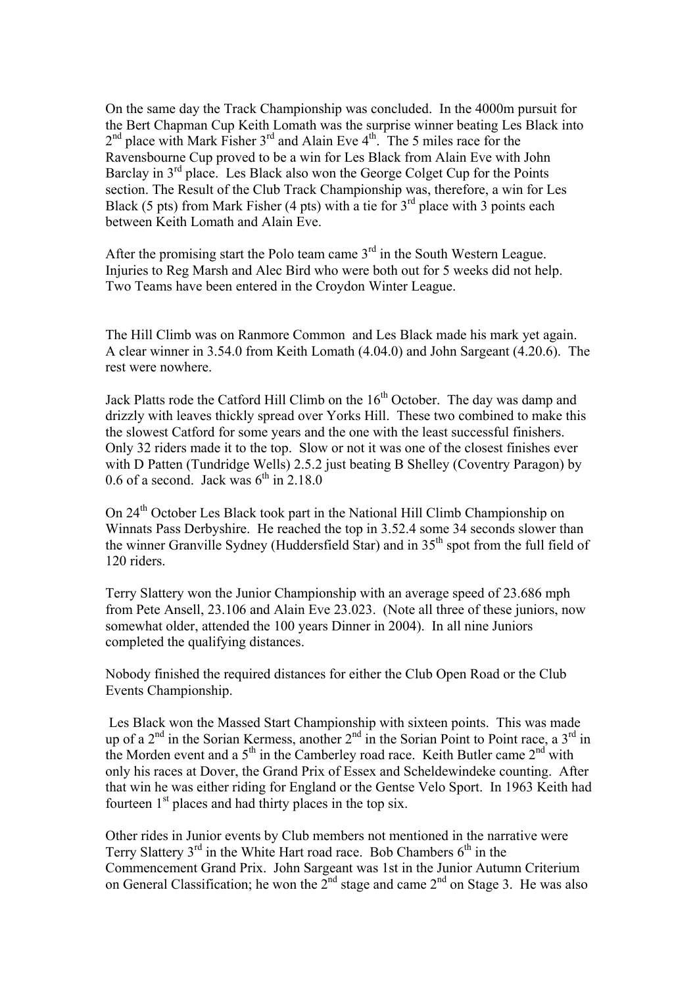On the same day the Track Championship was concluded. In the 4000m pursuit for the Bert Chapman Cup Keith Lomath was the surprise winner beating Les Black into  $2<sup>nd</sup>$  place with Mark Fisher  $3<sup>rd</sup>$  and Alain Eve  $4<sup>th</sup>$ . The 5 miles race for the Ravensbourne Cup proved to be a win for Les Black from Alain Eve with John Barclay in 3<sup>rd</sup> place. Les Black also won the George Colget Cup for the Points section. The Result of the Club Track Championship was, therefore, a win for Les Black (5 pts) from Mark Fisher (4 pts) with a tie for  $3<sup>rd</sup>$  place with 3 points each between Keith Lomath and Alain Eve.

After the promising start the Polo team came  $3<sup>rd</sup>$  in the South Western League. Injuries to Reg Marsh and Alec Bird who were both out for 5 weeks did not help. Two Teams have been entered in the Croydon Winter League.

The Hill Climb was on Ranmore Common and Les Black made his mark yet again. A clear winner in 3.54.0 from Keith Lomath (4.04.0) and John Sargeant (4.20.6). The rest were nowhere.

Jack Platts rode the Catford Hill Climb on the  $16<sup>th</sup>$  October. The day was damp and drizzly with leaves thickly spread over Yorks Hill. These two combined to make this the slowest Catford for some years and the one with the least successful finishers. Only 32 riders made it to the top. Slow or not it was one of the closest finishes ever with D Patten (Tundridge Wells) 2.5.2 just beating B Shelley (Coventry Paragon) by 0.6 of a second. Jack was  $6<sup>th</sup>$  in 2.18.0

On 24th October Les Black took part in the National Hill Climb Championship on Winnats Pass Derbyshire. He reached the top in 3.52.4 some 34 seconds slower than the winner Granville Sydney (Huddersfield Star) and in 35<sup>th</sup> spot from the full field of 120 riders.

Terry Slattery won the Junior Championship with an average speed of 23.686 mph from Pete Ansell, 23.106 and Alain Eve 23.023. (Note all three of these juniors, now somewhat older, attended the 100 years Dinner in 2004). In all nine Juniors completed the qualifying distances.

Nobody finished the required distances for either the Club Open Road or the Club Events Championship.

 Les Black won the Massed Start Championship with sixteen points. This was made up of a 2<sup>nd</sup> in the Sorian Kermess, another 2<sup>nd</sup> in the Sorian Point to Point race, a 3<sup>rd</sup> in the Morden event and a  $5<sup>th</sup>$  in the Camberley road race. Keith Butler came  $2<sup>nd</sup>$  with only his races at Dover, the Grand Prix of Essex and Scheldewindeke counting. After that win he was either riding for England or the Gentse Velo Sport. In 1963 Keith had fourteen  $1<sup>st</sup>$  places and had thirty places in the top six.

Other rides in Junior events by Club members not mentioned in the narrative were Terry Slattery  $3^{rd}$  in the White Hart road race. Bob Chambers  $6^{th}$  in the Commencement Grand Prix. John Sargeant was 1st in the Junior Autumn Criterium on General Classification; he won the  $2^{nd}$  stage and came  $2^{nd}$  on Stage 3. He was also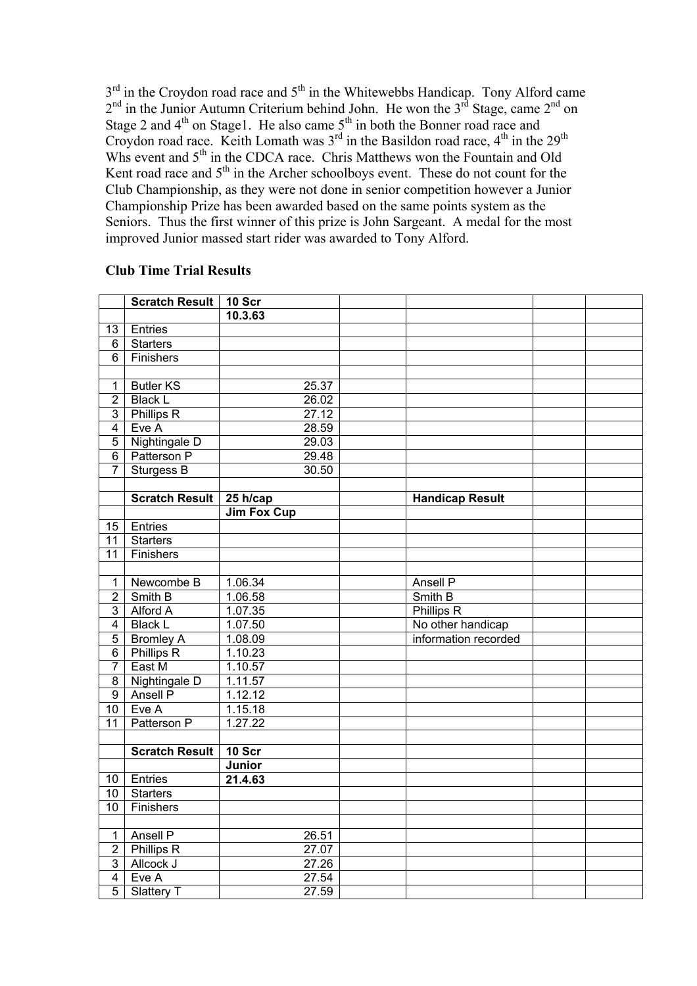$3<sup>rd</sup>$  in the Croydon road race and  $5<sup>th</sup>$  in the Whitewebbs Handicap. Tony Alford came  $2<sup>nd</sup>$  in the Junior Autumn Criterium behind John. He won the  $3<sup>rd</sup>$  Stage, came  $2<sup>nd</sup>$  on Stage 2 and  $4<sup>th</sup>$  on Stage1. He also came  $5<sup>th</sup>$  in both the Bonner road race and Croydon road race. Keith Lomath was  $3^{rd}$  in the Basildon road race,  $4^{th}$  in the  $29^{th}$ Whs event and  $5<sup>th</sup>$  in the CDCA race. Chris Matthews won the Fountain and Old Kent road race and 5<sup>th</sup> in the Archer schoolboys event. These do not count for the Club Championship, as they were not done in senior competition however a Junior Championship Prize has been awarded based on the same points system as the Seniors. Thus the first winner of this prize is John Sargeant. A medal for the most improved Junior massed start rider was awarded to Tony Alford.

## **Scratch Result | 10 Scr 10.3.63**  13 Entries 6 Starters 6 Finishers 1 Butler KS 25.37 2 Black L 26.02 3 Phillips R 27.12 4 Eve A 28.59 5 Nightingale D 29.03 6 Patterson P 29.48 7 Sturgess B 30.50 **Scratch Result 25 h/cap Handicap Result Jim Fox Cup**  15 Entries 11 Starters 11 Finishers 1 Newcombe B 1.06.34 Ansell P<br>
2 Smith B 1.06.58 Smith B 2 Smith B 1.06.58 Smith B<br>3 Alford A 1.07.35 Phillips R 3 Alford A 4 Black L 1.07.50 No other handicap 5 Bromley A 1.08.09 information recorded 6 Phillips R 1.10.23 7 East M 1.10.57 8 Nightingale D 1.11.57 9 Ansell P 1.12.12 10 Eve A 1.15.18 11 Patterson P 1.27.22 **Scratch Result 10 Scr Junior**  10 Entries **21.4.63**  10 Starters 10 Finishers 1 Ansell P 26.51 2 Phillips R 27.07 3 Allcock J 27.26 4 Eve A 27.54 5 Slattery T 27.59

## **Club Time Trial Results**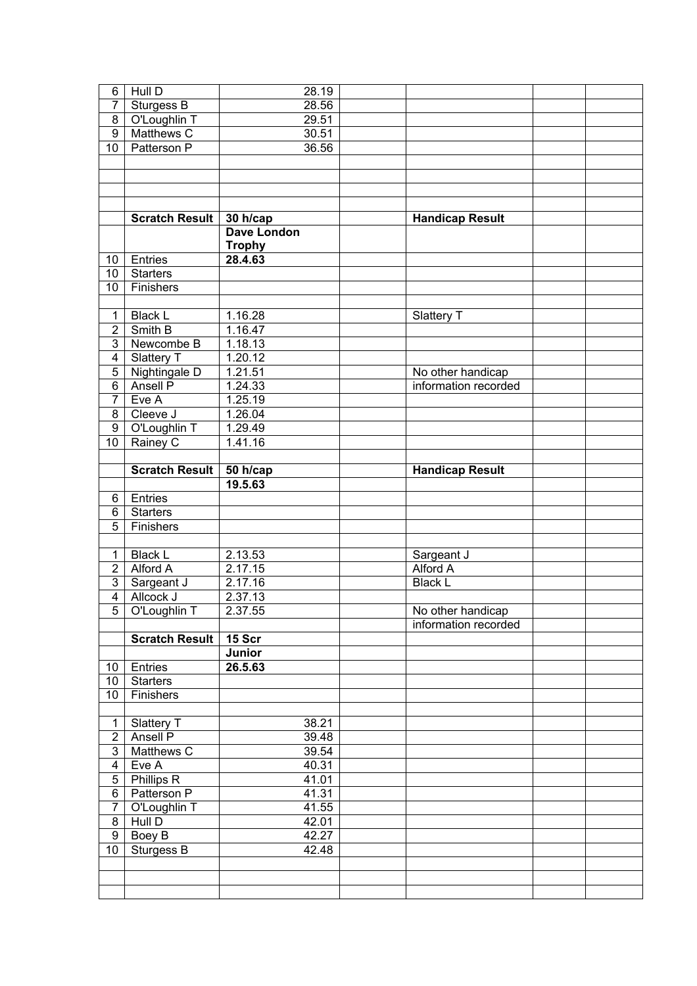| 6               | Hull D                | 28.19               |                        |  |
|-----------------|-----------------------|---------------------|------------------------|--|
| 7               | Sturgess B            | 28.56               |                        |  |
| 8               | O'Loughlin T          | 29.51               |                        |  |
| $\overline{9}$  | Matthews C            | 30.51               |                        |  |
| 10 <sup>°</sup> | Patterson P           | 36.56               |                        |  |
|                 |                       |                     |                        |  |
|                 |                       |                     |                        |  |
|                 |                       |                     |                        |  |
|                 |                       |                     |                        |  |
|                 | Scratch Result        | 30 h/cap            | <b>Handicap Result</b> |  |
|                 |                       | <b>Dave London</b>  |                        |  |
|                 |                       | <b>Trophy</b>       |                        |  |
| 10 <sub>1</sub> | Entries               | 28.4.63             |                        |  |
| 10 <sup>1</sup> | <b>Starters</b>       |                     |                        |  |
| 10 <sup>°</sup> | Finishers             |                     |                        |  |
|                 |                       |                     |                        |  |
| $\mathbf{1}$    | <b>Black L</b>        | 1.16.28             | Slattery T             |  |
| $\overline{2}$  | Smith B               | 1.16.47             |                        |  |
| 3 <sup>1</sup>  | Newcombe B            | 1.18.13             |                        |  |
| $\overline{4}$  | Slattery T            | 1.20.12             |                        |  |
| 5 <sup>1</sup>  | Nightingale D         | 1.21.51             | No other handicap      |  |
| 6 <sup>1</sup>  | Ansell P              | 1.24.33             | information recorded   |  |
| $7^{\circ}$     | Eve A                 | 1.25.19             |                        |  |
| 8               | Cleeve J              | 1.26.04             |                        |  |
| 9 <sup>1</sup>  | O'Loughlin T          | 1.29.49             |                        |  |
| 10 <sup>1</sup> | Rainey C              | 1.41.16             |                        |  |
|                 | <b>Scratch Result</b> |                     | <b>Handicap Result</b> |  |
|                 |                       | 50 h/cap<br>19.5.63 |                        |  |
| 6               | Entries               |                     |                        |  |
| 6               | <b>Starters</b>       |                     |                        |  |
| 5               | Finishers             |                     |                        |  |
|                 |                       |                     |                        |  |
| 1               | <b>Black L</b>        | 2.13.53             | Sargeant J             |  |
| $\sqrt{2}$      | Alford A              | 2.17.15             | Alford A               |  |
| 3 <sup>1</sup>  | Sargeant J            | 2.17.16             | <b>Black L</b>         |  |
| $\overline{4}$  | Allcock J             | 2.37.13             |                        |  |
| $\overline{5}$  | O'Loughlin T          | 2.37.55             | No other handicap      |  |
|                 |                       |                     | information recorded   |  |
|                 | <b>Scratch Result</b> | 15 Scr              |                        |  |
|                 |                       | Junior              |                        |  |
| 10              | Entries               | 26.5.63             |                        |  |
| 10 <sup>1</sup> | <b>Starters</b>       |                     |                        |  |
| 10              | Finishers             |                     |                        |  |
|                 |                       |                     |                        |  |
| $\mathbf 1$     | Slattery T            | 38.21               |                        |  |
| $\overline{2}$  | Ansell P              | 39.48               |                        |  |
| 3 <sup>1</sup>  | Matthews C            | 39.54               |                        |  |
| $\overline{4}$  | Eve A                 | 40.31               |                        |  |
| 5 <sup>5</sup>  | <b>Phillips R</b>     | 41.01               |                        |  |
| 6 <sup>1</sup>  | Patterson P           | 41.31               |                        |  |
|                 |                       |                     |                        |  |
| $\overline{7}$  | O'Loughlin T          | 41.55               |                        |  |
| 8               | Hull D                | 42.01               |                        |  |
| 9               | Boey B                | 42.27               |                        |  |
| 10 <sup>1</sup> | Sturgess B            | 42.48               |                        |  |
|                 |                       |                     |                        |  |
|                 |                       |                     |                        |  |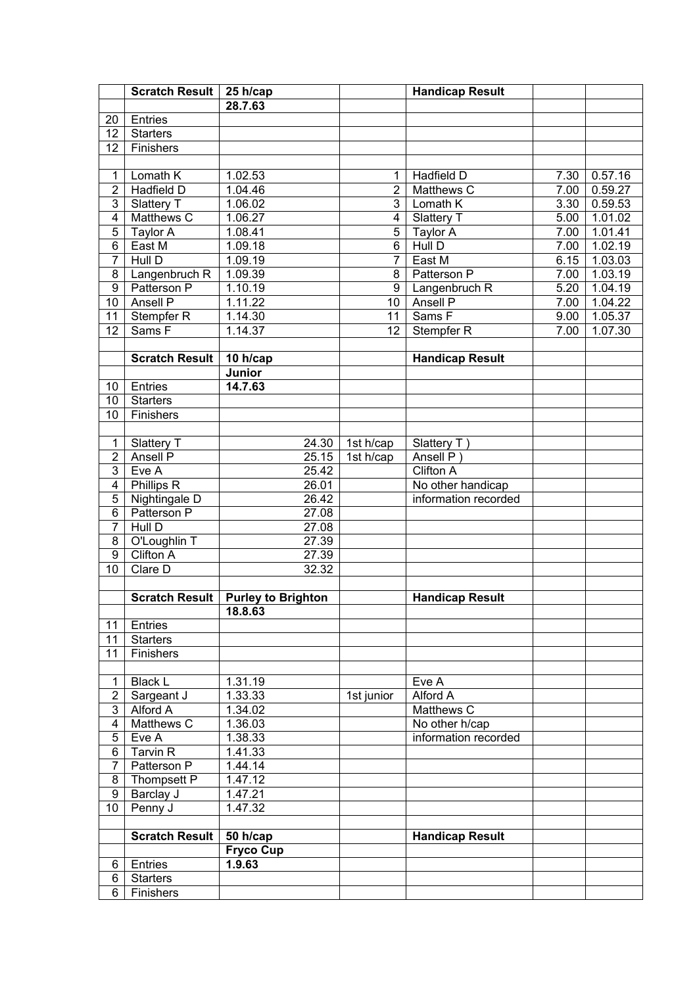|                         | Scratch Result        | 25 h/cap                  |                 | <b>Handicap Result</b> |      |         |
|-------------------------|-----------------------|---------------------------|-----------------|------------------------|------|---------|
|                         |                       | 28.7.63                   |                 |                        |      |         |
| 20                      | Entries               |                           |                 |                        |      |         |
| 12                      | <b>Starters</b>       |                           |                 |                        |      |         |
| 12                      | Finishers             |                           |                 |                        |      |         |
|                         |                       |                           |                 |                        |      |         |
| 1                       | Lomath K              | 1.02.53                   | 1               | Hadfield D             | 7.30 | 0.57.16 |
| $\overline{2}$          | Hadfield D            | 1.04.46                   | $\overline{2}$  | Matthews C             | 7.00 | 0.59.27 |
| 3                       | Slattery T            | 1.06.02                   | 3               | Lomath K               | 3.30 | 0.59.53 |
| $\overline{4}$          | Matthews C            | 1.06.27                   | 4               | Slattery T             | 5.00 | 1.01.02 |
| $\overline{5}$          | Taylor A              | 1.08.41                   | 5               | Taylor A               | 7.00 | 1.01.41 |
| 6                       | East M                | 1.09.18                   | 6               | Hull D                 | 7.00 | 1.02.19 |
| $\overline{7}$          | Hull D                | 1.09.19                   | $\overline{7}$  | East M                 | 6.15 | 1.03.03 |
| 8                       | Langenbruch R         | 1.09.39                   | 8               | Patterson P            | 7.00 | 1.03.19 |
| 9                       | Patterson P           | 1.10.19                   | 9               | Langenbruch R          | 5.20 | 1.04.19 |
| 10                      | <b>Ansell P</b>       | 1.11.22                   | 10              | <b>Ansell P</b>        | 7.00 | 1.04.22 |
| 11                      | Stempfer <sub>R</sub> | 1.14.30                   | $\overline{11}$ | Sams <sub>F</sub>      | 9.00 | 1.05.37 |
| 12                      | Sams F                | 1.14.37                   | 12              | Stempfer <sub>R</sub>  | 7.00 | 1.07.30 |
|                         |                       |                           |                 |                        |      |         |
|                         | <b>Scratch Result</b> | 10 h/cap                  |                 | <b>Handicap Result</b> |      |         |
|                         |                       | Junior                    |                 |                        |      |         |
| 10                      | Entries               | 14.7.63                   |                 |                        |      |         |
| 10                      | <b>Starters</b>       |                           |                 |                        |      |         |
| 10                      | Finishers             |                           |                 |                        |      |         |
|                         |                       |                           |                 |                        |      |         |
| 1                       | Slattery T            | 24.30                     | 1st h/cap       | Slattery T)            |      |         |
| $\overline{2}$          | Ansell P              | 25.15                     | 1st h/cap       | Ansell P)              |      |         |
| $\overline{3}$          | Eve A                 | 25.42                     |                 | Clifton A              |      |         |
| $\overline{4}$          | Phillips R            | 26.01                     |                 | No other handicap      |      |         |
| 5                       | Nightingale D         | 26.42                     |                 | information recorded   |      |         |
| 6                       | Patterson P           | 27.08                     |                 |                        |      |         |
| $\overline{7}$          | Hull D                | 27.08                     |                 |                        |      |         |
| 8                       | O'Loughlin T          | 27.39                     |                 |                        |      |         |
| $\overline{9}$          | <b>Clifton A</b>      | 27.39                     |                 |                        |      |         |
| 10                      | Clare D               | 32.32                     |                 |                        |      |         |
|                         |                       |                           |                 |                        |      |         |
|                         | <b>Scratch Result</b> | <b>Purley to Brighton</b> |                 | <b>Handicap Result</b> |      |         |
|                         |                       | 18.8.63                   |                 |                        |      |         |
| 11                      | Entries               |                           |                 |                        |      |         |
| 11                      | <b>Starters</b>       |                           |                 |                        |      |         |
| 11                      | Finishers             |                           |                 |                        |      |         |
|                         |                       |                           |                 |                        |      |         |
| $\mathbf 1$             | <b>Black L</b>        | 1.31.19                   |                 | Eve A                  |      |         |
| $\overline{\mathbf{c}}$ | Sargeant J            | 1.33.33                   | 1st junior      | Alford A               |      |         |
| 3                       | Alford A              | 1.34.02                   |                 | Matthews C             |      |         |
| $\overline{\mathbf{4}}$ | Matthews C            | 1.36.03                   |                 | No other h/cap         |      |         |
| $\overline{5}$          | Eve A                 | 1.38.33                   |                 | information recorded   |      |         |
| 6                       | Tarvin R              | 1.41.33                   |                 |                        |      |         |
| $\overline{7}$          | Patterson P           | 1.44.14                   |                 |                        |      |         |
| 8                       | Thompsett P           | 1.47.12                   |                 |                        |      |         |
| 9                       | Barclay J             | 1.47.21                   |                 |                        |      |         |
| 10                      | Penny J               | 1.47.32                   |                 |                        |      |         |
|                         |                       |                           |                 |                        |      |         |
|                         | <b>Scratch Result</b> | 50 h/cap                  |                 | <b>Handicap Result</b> |      |         |
|                         |                       | <b>Fryco Cup</b>          |                 |                        |      |         |
| 6                       | Entries               | 1.9.63                    |                 |                        |      |         |
| 6                       | <b>Starters</b>       |                           |                 |                        |      |         |
| 6                       | Finishers             |                           |                 |                        |      |         |